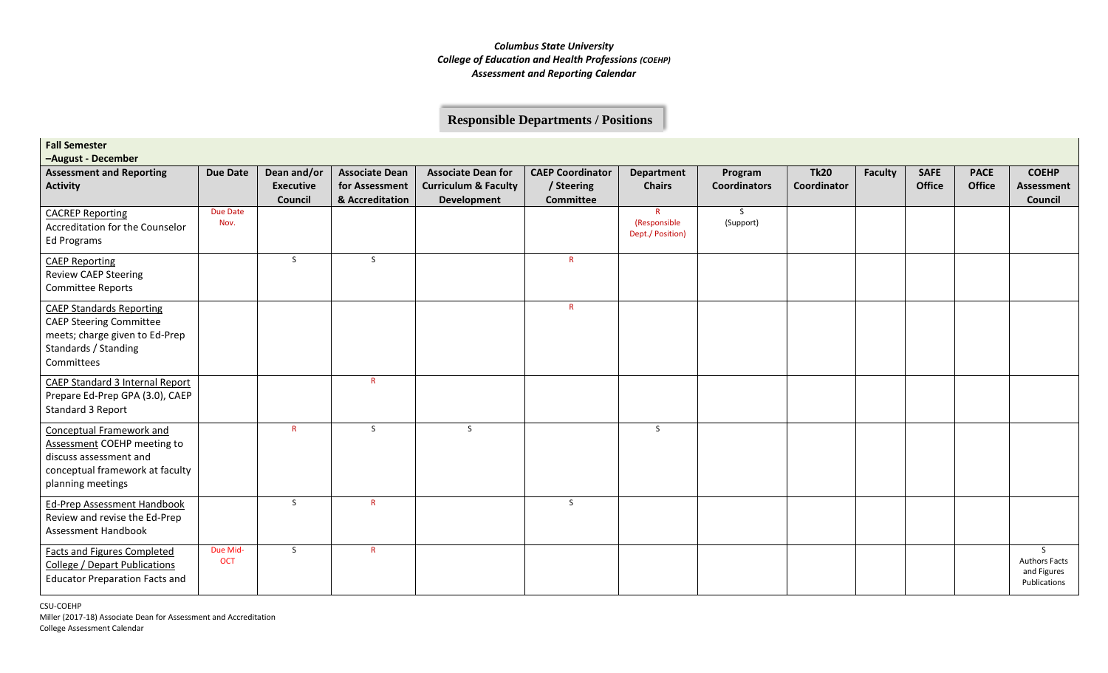### **Responsible Departments / Positions**

| <b>Fall Semester</b><br>-August - December                                                                                                |                        |                                            |                                                            |                                                                                    |                                                           |                                                  |                                |                            |                |                              |                              |                                                           |
|-------------------------------------------------------------------------------------------------------------------------------------------|------------------------|--------------------------------------------|------------------------------------------------------------|------------------------------------------------------------------------------------|-----------------------------------------------------------|--------------------------------------------------|--------------------------------|----------------------------|----------------|------------------------------|------------------------------|-----------------------------------------------------------|
| <b>Assessment and Reporting</b><br><b>Activity</b>                                                                                        | <b>Due Date</b>        | Dean and/or<br><b>Executive</b><br>Council | <b>Associate Dean</b><br>for Assessment<br>& Accreditation | <b>Associate Dean for</b><br><b>Curriculum &amp; Faculty</b><br><b>Development</b> | <b>CAEP Coordinator</b><br>/ Steering<br><b>Committee</b> | <b>Department</b><br><b>Chairs</b>               | Program<br><b>Coordinators</b> | <b>Tk20</b><br>Coordinator | <b>Faculty</b> | <b>SAFE</b><br><b>Office</b> | <b>PACE</b><br><b>Office</b> | <b>COEHP</b><br><b>Assessment</b><br>Council              |
| <b>CACREP Reporting</b><br>Accreditation for the Counselor<br>Ed Programs                                                                 | Due Date<br>Nov.       |                                            |                                                            |                                                                                    |                                                           | $\mathsf{R}$<br>(Responsible<br>Dept./ Position) | S<br>(Support)                 |                            |                |                              |                              |                                                           |
| <b>CAEP Reporting</b><br><b>Review CAEP Steering</b><br><b>Committee Reports</b>                                                          |                        | S                                          | S                                                          |                                                                                    | $\mathsf{R}$                                              |                                                  |                                |                            |                |                              |                              |                                                           |
| <b>CAEP Standards Reporting</b><br><b>CAEP Steering Committee</b><br>meets; charge given to Ed-Prep<br>Standards / Standing<br>Committees |                        |                                            |                                                            |                                                                                    | $\mathsf{R}$                                              |                                                  |                                |                            |                |                              |                              |                                                           |
| CAEP Standard 3 Internal Report<br>Prepare Ed-Prep GPA (3.0), CAEP<br>Standard 3 Report                                                   |                        |                                            | $\mathsf{R}$                                               |                                                                                    |                                                           |                                                  |                                |                            |                |                              |                              |                                                           |
| Conceptual Framework and<br>Assessment COEHP meeting to<br>discuss assessment and<br>conceptual framework at faculty<br>planning meetings |                        | R                                          | S                                                          | S.                                                                                 |                                                           | S                                                |                                |                            |                |                              |                              |                                                           |
| <b>Ed-Prep Assessment Handbook</b><br>Review and revise the Ed-Prep<br>Assessment Handbook                                                |                        | S                                          | $\mathsf{R}$                                               |                                                                                    | S                                                         |                                                  |                                |                            |                |                              |                              |                                                           |
| <b>Facts and Figures Completed</b><br>College / Depart Publications<br><b>Educator Preparation Facts and</b>                              | Due Mid-<br><b>OCT</b> | S                                          | $\mathsf{R}$                                               |                                                                                    |                                                           |                                                  |                                |                            |                |                              |                              | S.<br><b>Authors Facts</b><br>and Figures<br>Publications |

CSU-COEHP Miller (2017-18) Associate Dean for Assessment and Accreditation College Assessment Calendar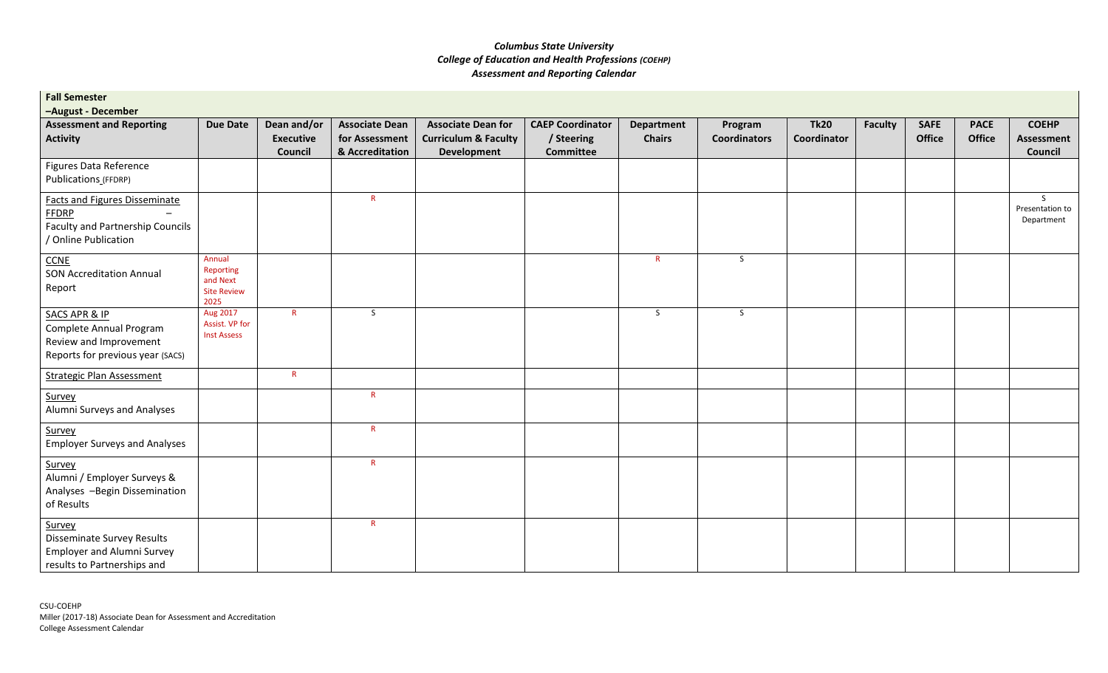| <b>Fall Semester</b>                                                                                                    |                                                               |                                            |                                                            |                                                                                    |                                                           |                             |                                |                            |                |                              |                       |                                              |
|-------------------------------------------------------------------------------------------------------------------------|---------------------------------------------------------------|--------------------------------------------|------------------------------------------------------------|------------------------------------------------------------------------------------|-----------------------------------------------------------|-----------------------------|--------------------------------|----------------------------|----------------|------------------------------|-----------------------|----------------------------------------------|
| -August - December<br><b>Assessment and Reporting</b><br><b>Activity</b>                                                | <b>Due Date</b>                                               | Dean and/or<br><b>Executive</b><br>Council | <b>Associate Dean</b><br>for Assessment<br>& Accreditation | <b>Associate Dean for</b><br><b>Curriculum &amp; Faculty</b><br><b>Development</b> | <b>CAEP Coordinator</b><br>/ Steering<br><b>Committee</b> | Department<br><b>Chairs</b> | Program<br><b>Coordinators</b> | <b>Tk20</b><br>Coordinator | <b>Faculty</b> | <b>SAFE</b><br><b>Office</b> | <b>PACE</b><br>Office | <b>COEHP</b><br><b>Assessment</b><br>Council |
| Figures Data Reference<br>Publications (FFDRP)                                                                          |                                                               |                                            |                                                            |                                                                                    |                                                           |                             |                                |                            |                |                              |                       |                                              |
| <b>Facts and Figures Disseminate</b><br><b>FFDRP</b><br><b>Faculty and Partnership Councils</b><br>/ Online Publication |                                                               |                                            | $\mathsf{R}$                                               |                                                                                    |                                                           |                             |                                |                            |                |                              |                       | S.<br>Presentation to<br>Department          |
| <b>CCNE</b><br><b>SON Accreditation Annual</b><br>Report                                                                | Annual<br>Reporting<br>and Next<br><b>Site Review</b><br>2025 |                                            |                                                            |                                                                                    |                                                           | $\mathsf{R}$                | S                              |                            |                |                              |                       |                                              |
| <b>SACS APR &amp; IP</b><br>Complete Annual Program<br>Review and Improvement<br>Reports for previous year (SACS)       | Aug 2017<br>Assist. VP for<br><b>Inst Assess</b>              | $\mathsf{R}^-$                             | $\mathsf{S}$                                               |                                                                                    |                                                           | $\mathsf{S}$                | S                              |                            |                |                              |                       |                                              |
| <b>Strategic Plan Assessment</b>                                                                                        |                                                               | $\mathsf{R}$                               |                                                            |                                                                                    |                                                           |                             |                                |                            |                |                              |                       |                                              |
| Survey<br>Alumni Surveys and Analyses                                                                                   |                                                               |                                            | $R_{\parallel}$                                            |                                                                                    |                                                           |                             |                                |                            |                |                              |                       |                                              |
| Survey<br><b>Employer Surveys and Analyses</b>                                                                          |                                                               |                                            | $\mathsf{R}^-$                                             |                                                                                    |                                                           |                             |                                |                            |                |                              |                       |                                              |
| Survey<br>Alumni / Employer Surveys &<br>Analyses -Begin Dissemination<br>of Results                                    |                                                               |                                            | $\mathsf{R}$                                               |                                                                                    |                                                           |                             |                                |                            |                |                              |                       |                                              |
| Survey<br>Disseminate Survey Results<br><b>Employer and Alumni Survey</b><br>results to Partnerships and                |                                                               |                                            | $\mathsf{R}$                                               |                                                                                    |                                                           |                             |                                |                            |                |                              |                       |                                              |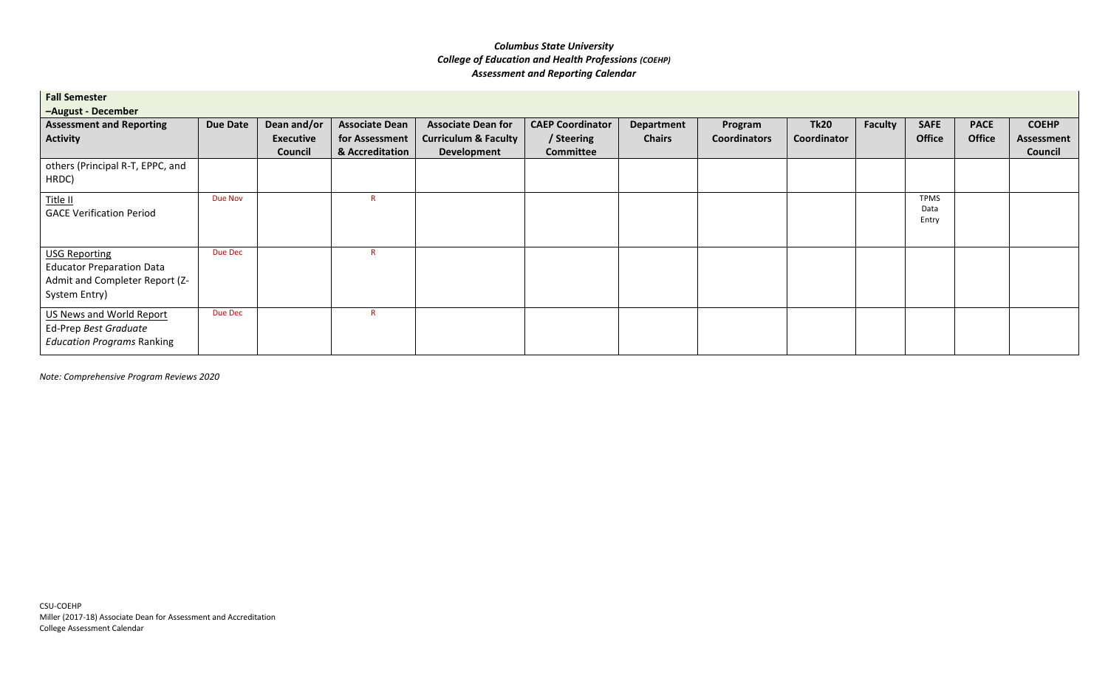| <b>Fall Semester</b><br>-August - December                                                                  |                 |                                            |                                                            |                                                                             |                                                           |                             |                                |                            |         |                              |                              |                                       |
|-------------------------------------------------------------------------------------------------------------|-----------------|--------------------------------------------|------------------------------------------------------------|-----------------------------------------------------------------------------|-----------------------------------------------------------|-----------------------------|--------------------------------|----------------------------|---------|------------------------------|------------------------------|---------------------------------------|
| <b>Assessment and Reporting</b><br>Activity                                                                 | <b>Due Date</b> | Dean and/or<br><b>Executive</b><br>Council | <b>Associate Dean</b><br>for Assessment<br>& Accreditation | <b>Associate Dean for</b><br><b>Curriculum &amp; Faculty</b><br>Development | <b>CAEP Coordinator</b><br>/ Steering<br><b>Committee</b> | Department<br><b>Chairs</b> | Program<br><b>Coordinators</b> | <b>Tk20</b><br>Coordinator | Faculty | <b>SAFE</b><br><b>Office</b> | <b>PACE</b><br><b>Office</b> | <b>COEHP</b><br>Assessment<br>Council |
| others (Principal R-T, EPPC, and<br>HRDC)                                                                   |                 |                                            |                                                            |                                                                             |                                                           |                             |                                |                            |         |                              |                              |                                       |
| Title II<br><b>GACE Verification Period</b>                                                                 | Due Nov         |                                            | R                                                          |                                                                             |                                                           |                             |                                |                            |         | <b>TPMS</b><br>Data<br>Entry |                              |                                       |
| <b>USG Reporting</b><br><b>Educator Preparation Data</b><br>Admit and Completer Report (Z-<br>System Entry) | Due Dec         |                                            | R                                                          |                                                                             |                                                           |                             |                                |                            |         |                              |                              |                                       |
| US News and World Report<br>Ed-Prep Best Graduate<br><b>Education Programs Ranking</b>                      | Due Dec         |                                            | R                                                          |                                                                             |                                                           |                             |                                |                            |         |                              |                              |                                       |

*Note: Comprehensive Program Reviews 2020*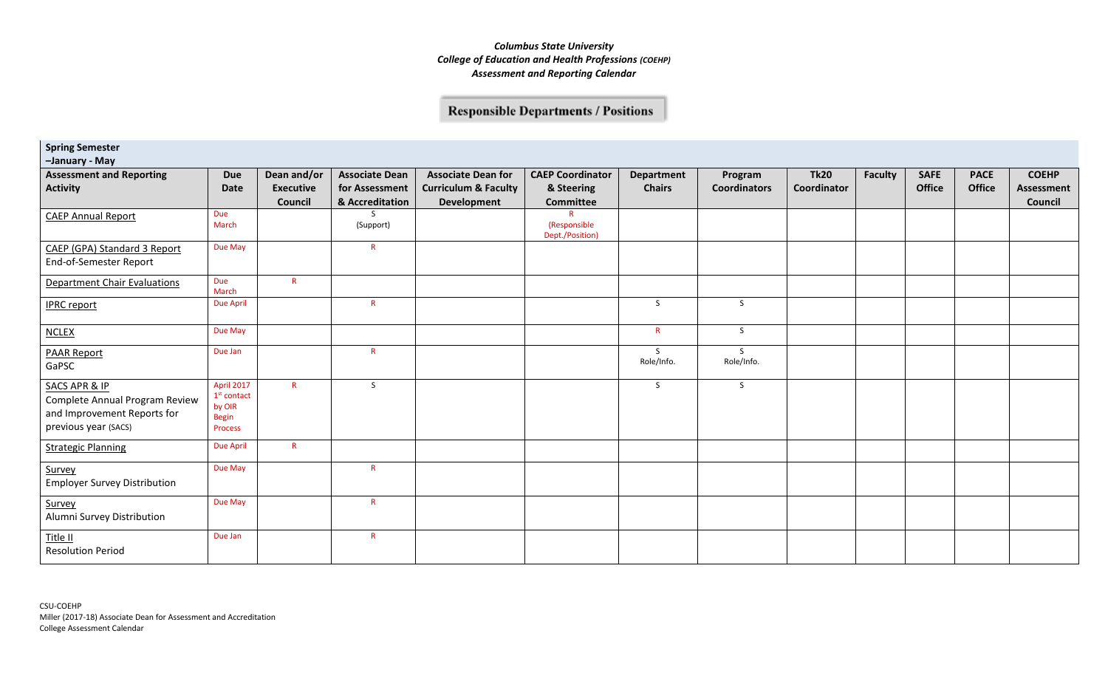# **Responsible Departments / Positions**

**Spring Semester**

**–January - May**

| <b>Assessment and Reporting</b><br><b>Activity</b>                                                                | <b>Due</b><br>Date                                        | Dean and/or<br><b>Executive</b> | <b>Associate Dean</b><br>for Assessment | <b>Associate Dean for</b><br><b>Curriculum &amp; Faculty</b> | <b>CAEP Coordinator</b><br>& Steering | Department<br><b>Chairs</b> | Program<br><b>Coordinators</b> | <b>Tk20</b><br>Coordinator | <b>Faculty</b> | <b>SAFE</b><br><b>Office</b> | <b>PACE</b><br>Office | <b>COEHP</b><br><b>Assessment</b> |
|-------------------------------------------------------------------------------------------------------------------|-----------------------------------------------------------|---------------------------------|-----------------------------------------|--------------------------------------------------------------|---------------------------------------|-----------------------------|--------------------------------|----------------------------|----------------|------------------------------|-----------------------|-----------------------------------|
|                                                                                                                   |                                                           | Council                         | & Accreditation                         | Development                                                  | <b>Committee</b>                      |                             |                                |                            |                |                              |                       | Council                           |
| <b>CAEP Annual Report</b>                                                                                         | Due<br>March                                              |                                 | $\varsigma$<br>(Support)                |                                                              | (Responsible<br>Dept./Position)       |                             |                                |                            |                |                              |                       |                                   |
| CAEP (GPA) Standard 3 Report<br>End-of-Semester Report                                                            | Due May                                                   |                                 | $\mathsf{R}$                            |                                                              |                                       |                             |                                |                            |                |                              |                       |                                   |
| <b>Department Chair Evaluations</b>                                                                               | Due<br>March                                              | $\mathsf{R}$                    |                                         |                                                              |                                       |                             |                                |                            |                |                              |                       |                                   |
| <b>IPRC</b> report                                                                                                | <b>Due April</b>                                          |                                 | $\mathsf{R}$                            |                                                              |                                       | S.                          | $\mathsf{S}$                   |                            |                |                              |                       |                                   |
| <b>NCLEX</b>                                                                                                      | Due May                                                   |                                 |                                         |                                                              |                                       | $\mathsf{R}$                | S                              |                            |                |                              |                       |                                   |
| <b>PAAR Report</b><br>GaPSC                                                                                       | Due Jan                                                   |                                 | R                                       |                                                              |                                       | S.<br>Role/Info.            | S.<br>Role/Info.               |                            |                |                              |                       |                                   |
| <b>SACS APR &amp; IP</b><br>Complete Annual Program Review<br>and Improvement Reports for<br>previous year (SACS) | April 2017<br>$1st$ contact<br>by OIR<br>Begin<br>Process | $\mathsf{R}$                    | S                                       |                                                              |                                       | S                           | S                              |                            |                |                              |                       |                                   |
| <b>Strategic Planning</b>                                                                                         | <b>Due April</b>                                          | R                               |                                         |                                                              |                                       |                             |                                |                            |                |                              |                       |                                   |
| Survey<br><b>Employer Survey Distribution</b>                                                                     | Due May                                                   |                                 | R                                       |                                                              |                                       |                             |                                |                            |                |                              |                       |                                   |
| Survey<br>Alumni Survey Distribution                                                                              | Due May                                                   |                                 | $\mathsf{R}$                            |                                                              |                                       |                             |                                |                            |                |                              |                       |                                   |
| Title II<br><b>Resolution Period</b>                                                                              | Due Jan                                                   |                                 | R                                       |                                                              |                                       |                             |                                |                            |                |                              |                       |                                   |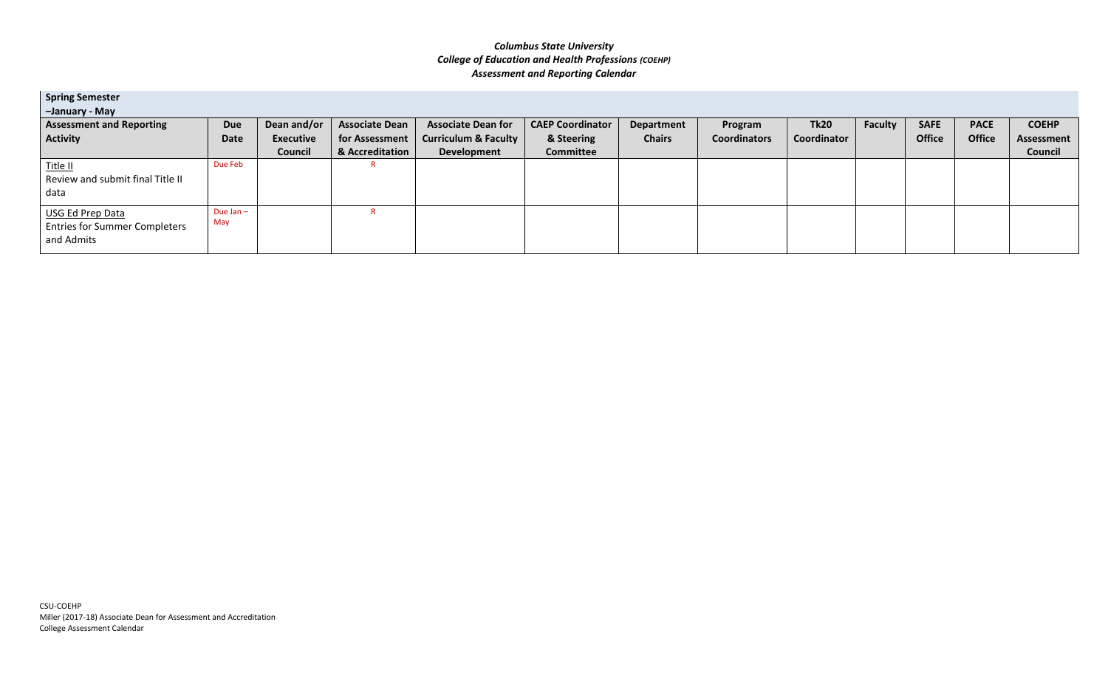| <b>Spring Semester</b>                                   |                    |                  |                       |                                 |                         |               |                     |             |                |               |               |              |
|----------------------------------------------------------|--------------------|------------------|-----------------------|---------------------------------|-------------------------|---------------|---------------------|-------------|----------------|---------------|---------------|--------------|
| -January - May                                           |                    |                  |                       |                                 |                         |               |                     |             |                |               |               |              |
| <b>Assessment and Reporting</b>                          | <b>Due</b>         | Dean and/or      | <b>Associate Dean</b> | <b>Associate Dean for</b>       | <b>CAEP Coordinator</b> | Department    | Program             | <b>Tk20</b> | <b>Faculty</b> | <b>SAFE</b>   | <b>PACE</b>   | <b>COEHP</b> |
| <b>Activity</b>                                          | Date               | <b>Executive</b> | for Assessment        | <b>Curriculum &amp; Faculty</b> | & Steering              | <b>Chairs</b> | <b>Coordinators</b> | Coordinator |                | <b>Office</b> | <b>Office</b> | Assessment   |
|                                                          |                    | <b>Council</b>   | & Accreditation       | Development                     | Committee               |               |                     |             |                |               |               | Council      |
| Title II                                                 | Due Feb            |                  |                       |                                 |                         |               |                     |             |                |               |               |              |
| Review and submit final Title II                         |                    |                  |                       |                                 |                         |               |                     |             |                |               |               |              |
| data                                                     |                    |                  |                       |                                 |                         |               |                     |             |                |               |               |              |
| USG Ed Prep Data<br><b>Entries for Summer Completers</b> | Due Jan $-$<br>May |                  |                       |                                 |                         |               |                     |             |                |               |               |              |
| and Admits                                               |                    |                  |                       |                                 |                         |               |                     |             |                |               |               |              |